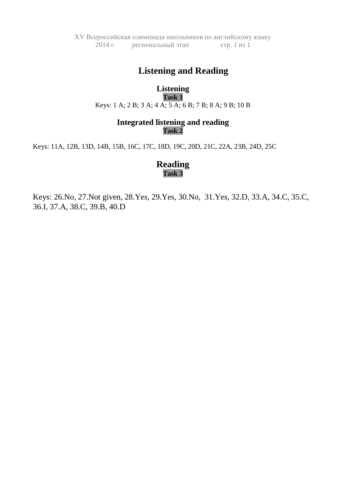XV Всероссийская олимпиада школьников по английскому языку 2014 г. региональный этап стр. 1 из 1

# **Listening and Reading**

**Listening Task 1** Keys: 1 A; 2 B; 3 A; 4 A; 5 A; 6 B; 7 B; 8 A; 9 B; 10 B

## **Integrated listening and reading Task 2**

Keys: 11A, 12B, 13D, 14B, 15B, 16C, 17C, 18D, 19C, 20D, 21C, 22A, 23B, 24D, 25C

# **Reading Task 3**

Keys: 26.No, 27.Not given, 28.Yes, 29.Yes, 30.No, 31.Yes, 32.D, 33.A, 34.C, 35.C, 36.I, 37.A, 38.C, 39.B, 40.D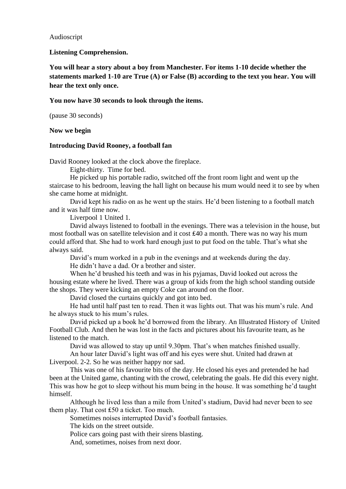### Audioscript

**Listening Comprehension.**

**You will hear a story about a boy from Manchester. For items 1-10 decide whether the statements marked 1-10 are True (A) or False (B) according to the text you hear. You will hear the text only once.**

### **You now have 30 seconds to look through the items.**

(pause 30 seconds)

### **Now we begin**

### **Introducing David Rooney, a football fan**

David Rooney looked at the clock above the fireplace.

Eight-thirty. Time for bed.

He picked up his portable radio, switched off the front room light and went up the staircase to his bedroom, leaving the hall light on because his mum would need it to see by when she came home at midnight.

David kept his radio on as he went up the stairs. He'd been listening to a football match and it was half time now.

Liverpool 1 United 1.

David always listened to football in the evenings. There was a television in the house, but most football was on satellite television and it cost ₤40 a month. There was no way his mum could afford that. She had to work hard enough just to put food on the table. That's what she always said.

David's mum worked in a pub in the evenings and at weekends during the day.

He didn't have a dad. Or a brother and sister.

When he'd brushed his teeth and was in his pyjamas, David looked out across the housing estate where he lived. There was a group of kids from the high school standing outside the shops. They were kicking an empty Coke can around on the floor.

David closed the curtains quickly and got into bed.

He had until half past ten to read. Then it was lights out. That was his mum's rule. And he always stuck to his mum's rules.

David picked up a book he'd borrowed from the library. An Illustrated History of United Football Club. And then he was lost in the facts and pictures about his favourite team, as he listened to the match.

David was allowed to stay up until 9.30pm. That's when matches finished usually.

An hour later David's light was off and his eyes were shut. United had drawn at Liverpool. 2-2. So he was neither happy nor sad.

This was one of his favourite bits of the day. He closed his eyes and pretended he had been at the United game, chanting with the crowd, celebrating the goals. He did this every night. This was how he got to sleep without his mum being in the house. It was something he'd taught himself.

Although he lived less than a mile from United's stadium, David had never been to see them play. That cost ₤50 a ticket. Too much.

Sometimes noises interrupted David's football fantasies.

The kids on the street outside.

Police cars going past with their sirens blasting.

And, sometimes, noises from next door.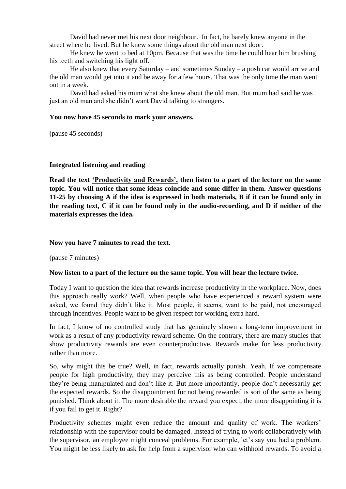David had never met his next door neighbour. In fact, he barely knew anyone in the street where he lived. But he knew some things about the old man next door.

He knew he went to bed at 10pm. Because that was the time he could hear him brushing his teeth and switching his light off.

He also knew that every Saturday – and sometimes Sunday – a posh car would arrive and the old man would get into it and be away for a few hours. That was the only time the man went out in a week.

David had asked his mum what she knew about the old man. But mum had said he was just an old man and she didn't want David talking to strangers.

### **You now have 45 seconds to mark your answers.**

(pause 45 seconds)

### **Integrated listening and reading**

**Read the text 'Productivity and Rewards', then listen to a part of the lecture on the same topic. You will notice that some ideas coincide and some differ in them. Answer questions 11-25 by choosing A if the idea is expressed in both materials, B if it can be found only in the reading text, C if it can be found only in the audio-recording, and D if neither of the materials expresses the idea.**

### **Now you have 7 minutes to read the text.**

(pause 7 minutes)

#### **Now listen to a part of the lecture on the same topic. You will hear the lecture twice.**

Today I want to question the idea that rewards increase productivity in the workplace. Now, does this approach really work? Well, when people who have experienced a reward system were asked, we found they didn't like it. Most people, it seems, want to be paid, not encouraged through incentives. People want to be given respect for working extra hard.

In fact, I know of no controlled study that has genuinely shown a long-term improvement in work as a result of any productivity reward scheme. On the contrary, there are many studies that show productivity rewards are even counterproductive. Rewards make for less productivity rather than more.

So, why might this be true? Well, in fact, rewards actually punish. Yeah. If we compensate people for high productivity, they may perceive this as being controlled. People understand they're being manipulated and don't like it. But more importantly, people don't necessarily get the expected rewards. So the disappointment for not being rewarded is sort of the same as being punished. Think about it. The more desirable the reward you expect, the more disappointing it is if you fail to get it. Right?

Productivity schemes might even reduce the amount and quality of work. The workers' relationship with the supervisor could be damaged. Instead of trying to work collaboratively with the supervisor, an employee might conceal problems. For example, let's say you had a problem. You might be less likely to ask for help from a supervisor who can withhold rewards. To avoid a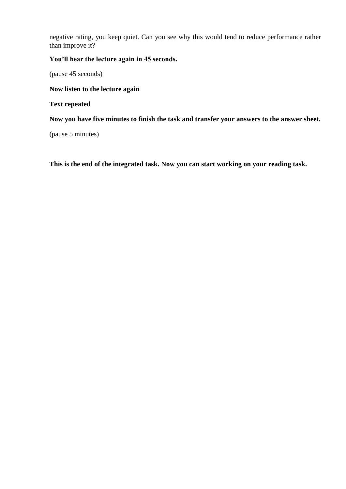negative rating, you keep quiet. Can you see why this would tend to reduce performance rather than improve it?

### **You'll hear the lecture again in 45 seconds.**

(pause 45 seconds)

### **Now listen to the lecture again**

### **Text repeated**

**Now you have five minutes to finish the task and transfer your answers to the answer sheet.**

(pause 5 minutes)

**This is the end of the integrated task. Now you can start working on your reading task.**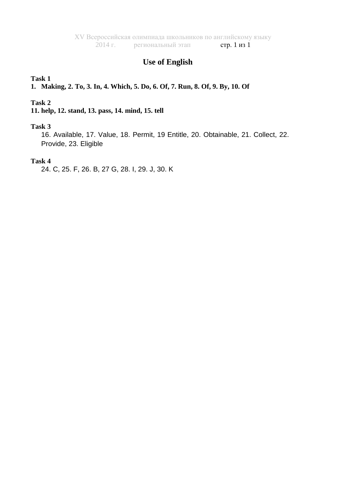# **Use of English**

### **Task 1**

**1. Making, 2. To, 3. In, 4. Which, 5. Do, 6. Of, 7. Run, 8. Of, 9. By, 10. Of** 

### **Task 2**

### **11. help, 12. stand, 13. pass, 14. mind, 15. tell**

### **Task 3**

16. Available, 17. Value, 18. Permit, 19 Entitle, 20. Obtainable, 21. Collect, 22. Provide, 23. Eligible

### **Task 4**

24. C, 25. F, 26. B, 27 G, 28. I, 29. J, 30. K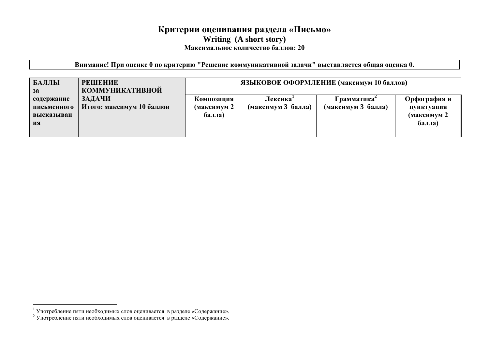# **Критерии оценивания раздела «Письмо» Writing (A short story) Максимальное количество баллов: 20**

**Внимание! При оценке 0 по критерию "Решение коммуникативной задачи" выставляется общая оценка 0.**

| БАЛЛЫ<br><b>РЕШЕНИЕ</b><br><b>КОММУНИКАТИВНОЙ</b><br>3a                              | ЯЗЫКОВОЕ ОФОРМЛЕНИЕ (максимум 10 баллов) |                               |                                   |                                                     |
|--------------------------------------------------------------------------------------|------------------------------------------|-------------------------------|-----------------------------------|-----------------------------------------------------|
| ЗАДАЧИ<br>содержание<br>Итого: максимум 10 баллов<br>письменного<br>высказыван<br>ия | Композиция<br>(максимум 2<br>балла)      | Лексика<br>(максимум 3 балла) | Грамматика-<br>(максимум 3 балла) | Орфография и<br>пунктуация<br>(максимум 2<br>балла) |

 $\overline{a}$ 

<sup>&</sup>lt;sup>1</sup> Употребление пяти необходимых слов оценивается в разделе «Содержание».

<sup>&</sup>lt;sup>2</sup> Употребление пяти необходимых слов оценивается в разделе «Содержание».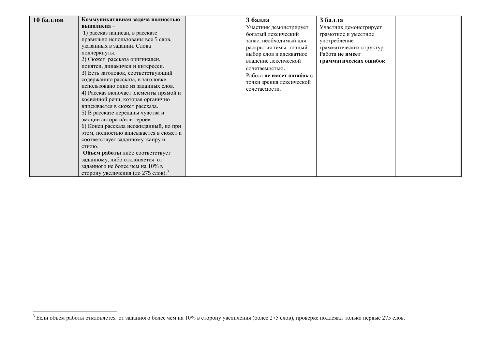$\overline{a}$ 

<sup>&</sup>lt;sup>3</sup> Если объем работы отклоняется от заданного более чем на 10% в сторону увеличения (более 275 слов), проверке подлежат только первые 275 слов.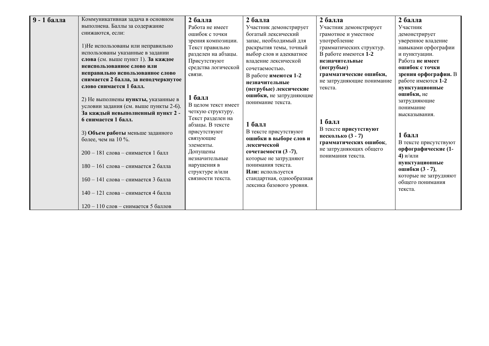| 9 - 1 балла<br>Коммуникативная задача в основном<br>выполнена. Баллы за содержание<br>снижаются, если:<br>1)Не использованы или неправильно<br>использованы указанные в задании<br>слова (см. выше пункт 1). За каждое<br>неиспользованное слово или<br>неправильно использованное слово<br>снимается 2 балла, за неподчеркнутое<br>слово снимается 1 балл.<br>2) Не выполнены пункты, указанные в<br>условии задания (см. выше пункты 2-6).<br>За каждый невыполненный пункт 2 -<br>6 снимается 1 балл.<br>3) Объем работы меньше заданного<br>более, чем на 10 %.<br>200 - 181 слова - снимается 1 балл<br>180 - 161 слова - снимается 2 балла<br>160 - 141 слова - снимается 3 балла<br>140 - 121 слова - снимается 4 балла | 2 балла<br>Работа не имеет<br>ошибок с точки<br>зрения композиции.<br>Текст правильно<br>разделен на абзацы.<br>Присутствуют<br>средства логической<br>связи.<br>$16a$ лл<br>В целом текст имеет<br>четкую структуру.<br>Текст разделен на<br>абзацы. В тексте<br>присутствуют<br>связующие<br>элементы.<br>Допущены<br>незначительные<br>нарушения в<br>структуре и/или<br>связности текста. | 2 балла<br>Участник демонстрирует<br>богатый лексический<br>запас, необходимый для<br>раскрытия темы, точный<br>выбор слов и адекватное<br>владение лексической<br>сочетаемостью.<br>В работе имеются 1-2<br>незначительные<br>(негрубые) лексические<br>ошибки, не затрудняющие<br>понимание текста.<br>$16a$ лл<br>В тексте присутствуют<br>ошибки в выборе слов и<br>лексической<br>сочетаемости (3 -7),<br>которые не затрудняют<br>понимания текста.<br>Или: используется<br>стандартная, однообразная<br>лексика базового уровня. | 2 балла<br>Участник демонстрирует<br>грамотное и уместное<br>употребление<br>грамматических структур.<br>В работе имеются 1-2<br>незначительные<br>(негрубые)<br>грамматические ошибки,<br>не затрудняющие понимание<br>текста.<br>1 балл<br>В тексте присутствуют<br>несколько (3 - 7)<br>грамматических ошибок,<br>не затрудняющих общего<br>понимания текста. | 2 балла<br>Участник<br>демонстрирует<br>уверенное владение<br>навыками орфографии<br>и пунктуации.<br>Работа не имеет<br>ошибок с точки<br>зрения орфографии. В<br>работе имеются 1-2<br>пунктуационные<br>ошибки, не<br>затрудняющие<br>понимание<br>высказывания.<br>$16a$ лл<br>В тексте присутствуют<br>орфографические (1-<br>4) и/или<br>пунктуационные<br>ошибки (3 - 7),<br>которые не затрудняют<br>обшего понимания<br>текста. |
|--------------------------------------------------------------------------------------------------------------------------------------------------------------------------------------------------------------------------------------------------------------------------------------------------------------------------------------------------------------------------------------------------------------------------------------------------------------------------------------------------------------------------------------------------------------------------------------------------------------------------------------------------------------------------------------------------------------------------------|-----------------------------------------------------------------------------------------------------------------------------------------------------------------------------------------------------------------------------------------------------------------------------------------------------------------------------------------------------------------------------------------------|-----------------------------------------------------------------------------------------------------------------------------------------------------------------------------------------------------------------------------------------------------------------------------------------------------------------------------------------------------------------------------------------------------------------------------------------------------------------------------------------------------------------------------------------|------------------------------------------------------------------------------------------------------------------------------------------------------------------------------------------------------------------------------------------------------------------------------------------------------------------------------------------------------------------|------------------------------------------------------------------------------------------------------------------------------------------------------------------------------------------------------------------------------------------------------------------------------------------------------------------------------------------------------------------------------------------------------------------------------------------|
| 120 – 110 слов – снимается 5 баллов                                                                                                                                                                                                                                                                                                                                                                                                                                                                                                                                                                                                                                                                                            |                                                                                                                                                                                                                                                                                                                                                                                               |                                                                                                                                                                                                                                                                                                                                                                                                                                                                                                                                         |                                                                                                                                                                                                                                                                                                                                                                  |                                                                                                                                                                                                                                                                                                                                                                                                                                          |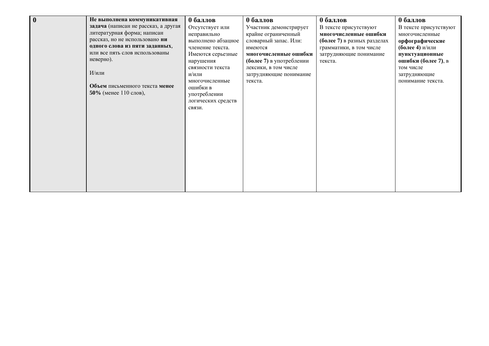| $\mathbf 0$ | Не выполнена коммуникативная<br>задача (написан не рассказ, а другая<br>литературная форма; написан<br>рассказ, но не использовано ни<br>одного слова из пяти заданных,<br>или все пять слов использованы<br>неверно). | 0 баллов<br>Отсутствует или<br>неправильно<br>выполнено абзацное<br>членение текста.<br>Имеются серьезные<br>нарушения<br>связности текста | 0 баллов<br>Участник демонстрирует<br>крайне ограниченный<br>словарный запас. Или:<br>имеются<br>многочисленные ошибки<br>(более 7) в употреблении<br>лексики, в том числе | 0 баллов<br>В тексте присутствуют<br>многочисленные ошибки<br>(более 7) в разных разделах<br>грамматики, в том числе<br>затрудняющие понимание<br>текста. | 0 баллов<br>В тексте присутствуют<br>многочисленные<br>орфографические<br>(более 4) и/или<br>пунктуационные<br>ошибки (более 7), в<br>том числе |
|-------------|------------------------------------------------------------------------------------------------------------------------------------------------------------------------------------------------------------------------|--------------------------------------------------------------------------------------------------------------------------------------------|----------------------------------------------------------------------------------------------------------------------------------------------------------------------------|-----------------------------------------------------------------------------------------------------------------------------------------------------------|-------------------------------------------------------------------------------------------------------------------------------------------------|
|             | $M/m\pi$ и<br>Объем письменного текста менее<br>50% (менее 110 слов),                                                                                                                                                  | и/или<br>многочисленные<br>ошибки в<br>употреблении<br>логических средств<br>связи.                                                        | затрудняющие понимание<br>текста.                                                                                                                                          |                                                                                                                                                           | затрудняющие<br>понимание текста.                                                                                                               |